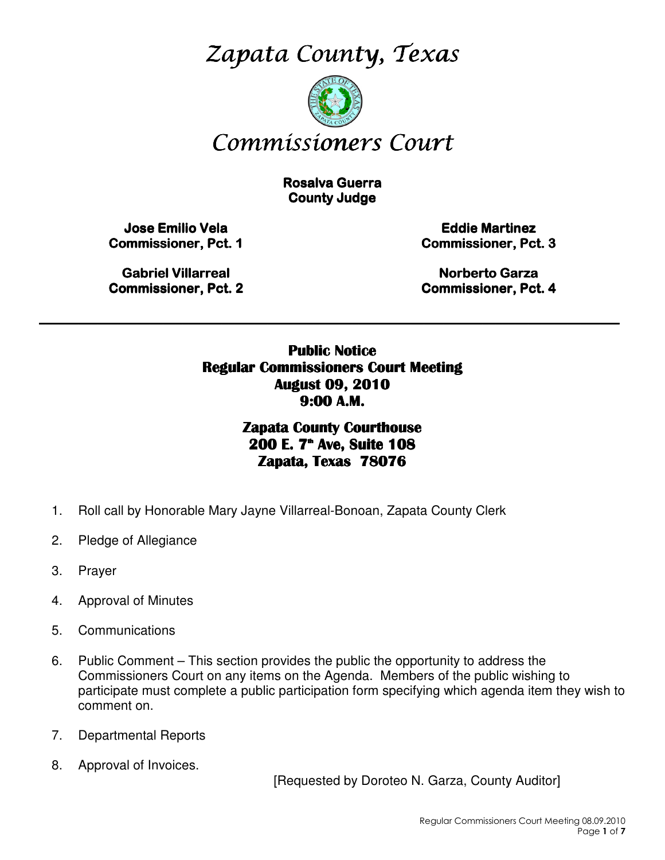Zapata County, Texas



# Commissioners Court

**Rosalva Guerra County Judge** 

Jose Emilio Vela Jose Commissioner, Pct. 1

**Eddie Martinez** Commissioner, Pct. 3

Gabriel Villarreal Gabriel Villarreal **Commissioner, Pct. 2** 

Norberto Garza Commissioner, Pct. 4

Public Notice Regular Commissioners Court Meeting August 09, 2010 9:00 A.M.

\_\_\_\_\_\_\_\_\_\_\_\_\_\_\_\_\_\_\_\_\_\_\_\_\_\_\_\_\_\_\_\_\_\_\_\_\_\_\_\_\_\_\_\_\_\_\_\_\_\_\_\_\_\_\_\_\_\_\_\_\_\_\_\_\_\_\_\_\_\_\_\_\_\_\_\_\_\_\_\_\_\_\_\_\_\_\_\_\_

Zapata County Courthouse 200 E. 7<sup>th</sup> Ave, Suite 108 Zapata, Texas 78076

- 1. Roll call by Honorable Mary Jayne Villarreal-Bonoan, Zapata County Clerk
- 2. Pledge of Allegiance
- 3. Prayer
- 4. Approval of Minutes
- 5. Communications
- 6. Public Comment This section provides the public the opportunity to address the Commissioners Court on any items on the Agenda. Members of the public wishing to participate must complete a public participation form specifying which agenda item they wish to comment on.
- 7. Departmental Reports
- 8. Approval of Invoices.

[Requested by Doroteo N. Garza, County Auditor]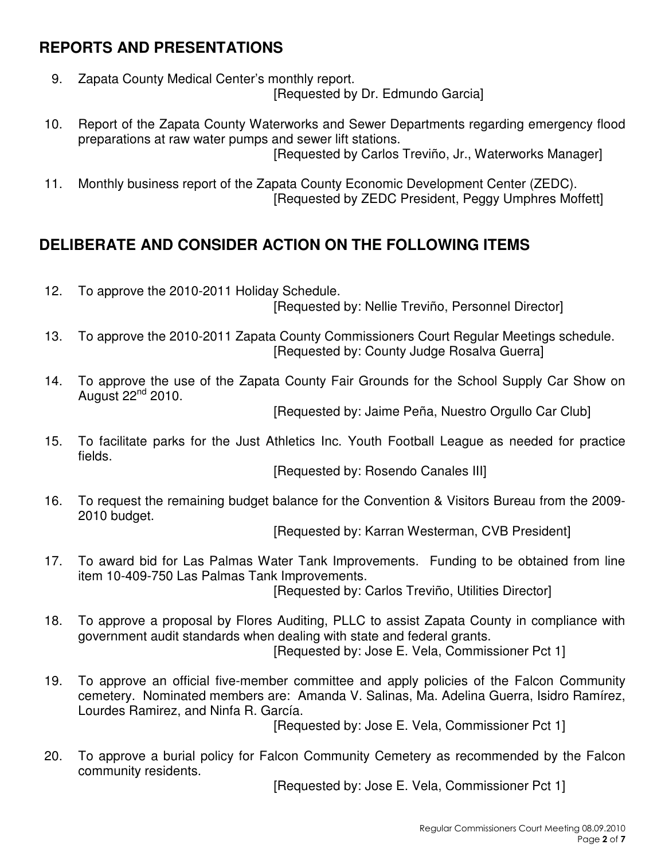## **REPORTS AND PRESENTATIONS**

- 9. Zapata County Medical Center's monthly report. [Requested by Dr. Edmundo Garcia]
- 10. Report of the Zapata County Waterworks and Sewer Departments regarding emergency flood preparations at raw water pumps and sewer lift stations. [Requested by Carlos Treviño, Jr., Waterworks Manager]
- 11. Monthly business report of the Zapata County Economic Development Center (ZEDC). [Requested by ZEDC President, Peggy Umphres Moffett]

# **DELIBERATE AND CONSIDER ACTION ON THE FOLLOWING ITEMS**

12. To approve the 2010-2011 Holiday Schedule.

[Requested by: Nellie Treviño, Personnel Director]

- 13. To approve the 2010-2011 Zapata County Commissioners Court Regular Meetings schedule. [Requested by: County Judge Rosalva Guerra]
- 14. To approve the use of the Zapata County Fair Grounds for the School Supply Car Show on August  $22^{nd}$  2010.

[Requested by: Jaime Peña, Nuestro Orgullo Car Club]

15. To facilitate parks for the Just Athletics Inc. Youth Football League as needed for practice fields.

[Requested by: Rosendo Canales III]

16. To request the remaining budget balance for the Convention & Visitors Bureau from the 2009- 2010 budget.

[Requested by: Karran Westerman, CVB President]

17. To award bid for Las Palmas Water Tank Improvements. Funding to be obtained from line item 10-409-750 Las Palmas Tank Improvements.

[Requested by: Carlos Treviño, Utilities Director]

- 18. To approve a proposal by Flores Auditing, PLLC to assist Zapata County in compliance with government audit standards when dealing with state and federal grants. [Requested by: Jose E. Vela, Commissioner Pct 1]
- 19. To approve an official five-member committee and apply policies of the Falcon Community cemetery. Nominated members are: Amanda V. Salinas, Ma. Adelina Guerra, Isidro Ramírez, Lourdes Ramirez, and Ninfa R. García.

[Requested by: Jose E. Vela, Commissioner Pct 1]

20. To approve a burial policy for Falcon Community Cemetery as recommended by the Falcon community residents.

[Requested by: Jose E. Vela, Commissioner Pct 1]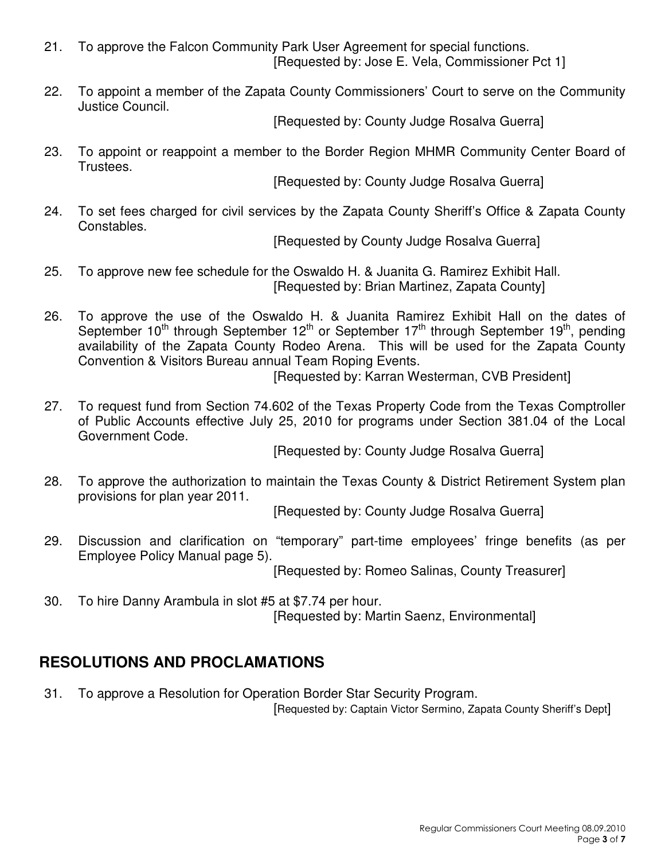- 21. To approve the Falcon Community Park User Agreement for special functions. [Requested by: Jose E. Vela, Commissioner Pct 1]
- 22. To appoint a member of the Zapata County Commissioners' Court to serve on the Community Justice Council.

[Requested by: County Judge Rosalva Guerra]

23. To appoint or reappoint a member to the Border Region MHMR Community Center Board of Trustees.

[Requested by: County Judge Rosalva Guerra]

24. To set fees charged for civil services by the Zapata County Sheriff's Office & Zapata County Constables.

[Requested by County Judge Rosalva Guerra]

- 25. To approve new fee schedule for the Oswaldo H. & Juanita G. Ramirez Exhibit Hall. [Requested by: Brian Martinez, Zapata County]
- 26. To approve the use of the Oswaldo H. & Juanita Ramirez Exhibit Hall on the dates of September 10<sup>th</sup> through September 12<sup>th</sup> or September 17<sup>th</sup> through September 19<sup>th</sup>, pending availability of the Zapata County Rodeo Arena. This will be used for the Zapata County Convention & Visitors Bureau annual Team Roping Events.

[Requested by: Karran Westerman, CVB President]

27. To request fund from Section 74.602 of the Texas Property Code from the Texas Comptroller of Public Accounts effective July 25, 2010 for programs under Section 381.04 of the Local Government Code.

[Requested by: County Judge Rosalva Guerra]

28. To approve the authorization to maintain the Texas County & District Retirement System plan provisions for plan year 2011.

[Requested by: County Judge Rosalva Guerra]

29. Discussion and clarification on "temporary" part-time employees' fringe benefits (as per Employee Policy Manual page 5).

[Requested by: Romeo Salinas, County Treasurer]

30. To hire Danny Arambula in slot #5 at \$7.74 per hour. [Requested by: Martin Saenz, Environmental]

# **RESOLUTIONS AND PROCLAMATIONS**

31. To approve a Resolution for Operation Border Star Security Program.

[Requested by: Captain Victor Sermino, Zapata County Sheriff's Dept]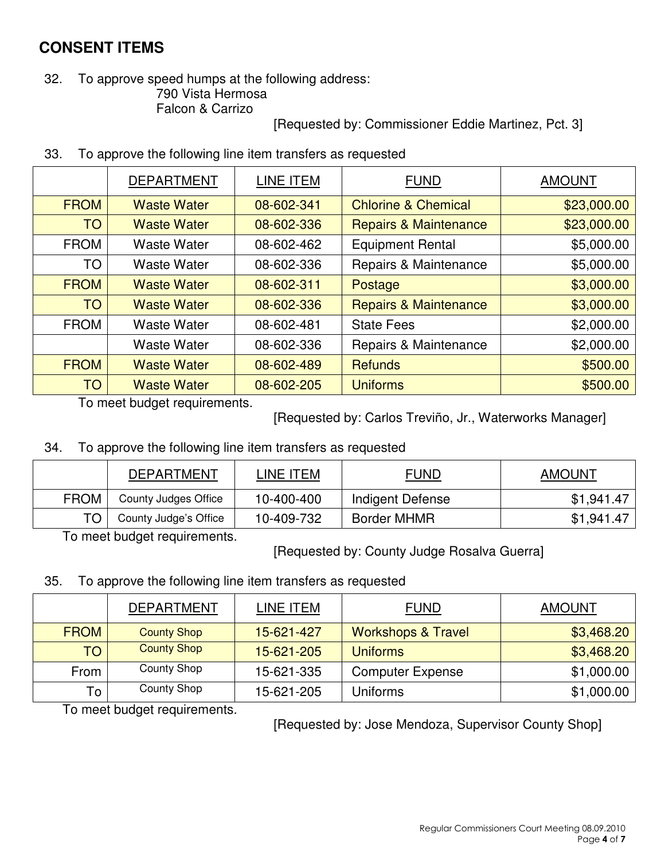## **CONSENT ITEMS**

#### 32. To approve speed humps at the following address: 790 Vista Hermosa Falcon & Carrizo

[Requested by: Commissioner Eddie Martinez, Pct. 3]

| 33. |  |  | To approve the following line item transfers as requested |
|-----|--|--|-----------------------------------------------------------|
|-----|--|--|-----------------------------------------------------------|

|             | <b>DEPARTMENT</b>  | LINE ITEM  | <b>FUND</b>                      | <b>AMOUNT</b> |
|-------------|--------------------|------------|----------------------------------|---------------|
| <b>FROM</b> | <b>Waste Water</b> | 08-602-341 | <b>Chlorine &amp; Chemical</b>   | \$23,000.00   |
| <b>TO</b>   | <b>Waste Water</b> | 08-602-336 | <b>Repairs &amp; Maintenance</b> | \$23,000.00   |
| <b>FROM</b> | <b>Waste Water</b> | 08-602-462 | <b>Equipment Rental</b>          | \$5,000.00    |
| <b>TO</b>   | <b>Waste Water</b> | 08-602-336 | Repairs & Maintenance            | \$5,000.00    |
| <b>FROM</b> | <b>Waste Water</b> | 08-602-311 | Postage                          | \$3,000.00    |
| <b>TO</b>   | <b>Waste Water</b> | 08-602-336 | <b>Repairs &amp; Maintenance</b> | \$3,000.00    |
| <b>FROM</b> | <b>Waste Water</b> | 08-602-481 | <b>State Fees</b>                | \$2,000.00    |
|             | <b>Waste Water</b> | 08-602-336 | Repairs & Maintenance            | \$2,000.00    |
| <b>FROM</b> | <b>Waste Water</b> | 08-602-489 | <b>Refunds</b>                   | \$500.00      |
| <b>TO</b>   | <b>Waste Water</b> | 08-602-205 | <b>Uniforms</b>                  | \$500.00      |

To meet budget requirements.

[Requested by: Carlos Treviño, Jr., Waterworks Manager]

34. To approve the following line item transfers as requested

|             | DEPARTMENT            | LINE ITEM  | <b>FUND</b>        | <b>AMOUNT</b> |
|-------------|-----------------------|------------|--------------------|---------------|
| <b>FROM</b> | County Judges Office  | 10-400-400 | Indigent Defense   | \$1,941.47    |
| TO          | County Judge's Office | 10-409-732 | <b>Border MHMR</b> | \$1,941.47    |

To meet budget requirements.

[Requested by: County Judge Rosalva Guerra]

#### 35. To approve the following line item transfers as requested

|             | <b>DEPARTMENT</b>  | LINE ITEM  | <b>FUND</b>                   | <b>AMOUNT</b> |
|-------------|--------------------|------------|-------------------------------|---------------|
| <b>FROM</b> | <b>County Shop</b> | 15-621-427 | <b>Workshops &amp; Travel</b> | \$3,468.20    |
| <b>TO</b>   | <b>County Shop</b> | 15-621-205 | <b>Uniforms</b>               | \$3,468.20    |
| From        | County Shop        | 15-621-335 | <b>Computer Expense</b>       | \$1,000.00    |
| To          | County Shop        | 15-621-205 | Uniforms                      | \$1,000.00    |

To meet budget requirements.

[Requested by: Jose Mendoza, Supervisor County Shop]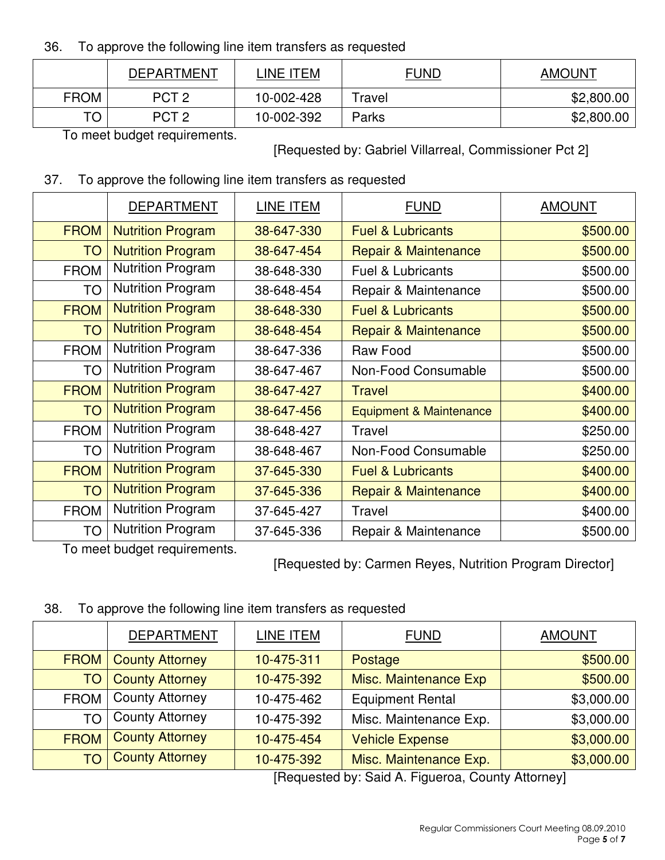#### 36. To approve the following line item transfers as requested

|             | <b>DEPARTMENT</b> | LINE ITEM  | <u>FUND</u> | <b>AMOUNT</b> |
|-------------|-------------------|------------|-------------|---------------|
| <b>FROM</b> | PCT <sub>2</sub>  | 10-002-428 | Travel      | \$2,800.00    |
| $T\cap$     | PCT <sub>2</sub>  | 10-002-392 | Parks       | \$2,800.00    |

To meet budget requirements.

[Requested by: Gabriel Villarreal, Commissioner Pct 2]

#### 37. To approve the following line item transfers as requested

|             | <b>DEPARTMENT</b>        | LINE ITEM  | <b>FUND</b>                        | <b>AMOUNT</b> |
|-------------|--------------------------|------------|------------------------------------|---------------|
| <b>FROM</b> | <b>Nutrition Program</b> | 38-647-330 | <b>Fuel &amp; Lubricants</b>       | \$500.00      |
| <b>TO</b>   | <b>Nutrition Program</b> | 38-647-454 | <b>Repair &amp; Maintenance</b>    | \$500.00      |
| <b>FROM</b> | <b>Nutrition Program</b> | 38-648-330 | <b>Fuel &amp; Lubricants</b>       | \$500.00      |
| TO          | <b>Nutrition Program</b> | 38-648-454 | Repair & Maintenance               | \$500.00      |
| <b>FROM</b> | <b>Nutrition Program</b> | 38-648-330 | <b>Fuel &amp; Lubricants</b>       | \$500.00      |
| <b>TO</b>   | <b>Nutrition Program</b> | 38-648-454 | <b>Repair &amp; Maintenance</b>    | \$500.00      |
| <b>FROM</b> | <b>Nutrition Program</b> | 38-647-336 | Raw Food                           | \$500.00      |
| <b>TO</b>   | <b>Nutrition Program</b> | 38-647-467 | Non-Food Consumable                | \$500.00      |
| <b>FROM</b> | <b>Nutrition Program</b> | 38-647-427 | <b>Travel</b>                      | \$400.00      |
| <b>TO</b>   | <b>Nutrition Program</b> | 38-647-456 | <b>Equipment &amp; Maintenance</b> | \$400.00      |
| <b>FROM</b> | <b>Nutrition Program</b> | 38-648-427 | Travel                             | \$250.00      |
| <b>TO</b>   | <b>Nutrition Program</b> | 38-648-467 | Non-Food Consumable                | \$250.00      |
| <b>FROM</b> | <b>Nutrition Program</b> | 37-645-330 | <b>Fuel &amp; Lubricants</b>       | \$400.00      |
| <b>TO</b>   | <b>Nutrition Program</b> | 37-645-336 | Repair & Maintenance               | \$400.00      |
| <b>FROM</b> | <b>Nutrition Program</b> | 37-645-427 | Travel                             | \$400.00      |
| TO          | <b>Nutrition Program</b> | 37-645-336 | Repair & Maintenance               | \$500.00      |

To meet budget requirements.

[Requested by: Carmen Reyes, Nutrition Program Director]

38. To approve the following line item transfers as requested

|             | <b>DEPARTMENT</b>      | LINE ITEM  | <b>FUND</b>                                                                                                                                                                                                                                                                                                                        | <b>AMOUNT</b> |
|-------------|------------------------|------------|------------------------------------------------------------------------------------------------------------------------------------------------------------------------------------------------------------------------------------------------------------------------------------------------------------------------------------|---------------|
| <b>FROM</b> | <b>County Attorney</b> | 10-475-311 | Postage                                                                                                                                                                                                                                                                                                                            | \$500.00      |
| TO          | <b>County Attorney</b> | 10-475-392 | Misc. Maintenance Exp                                                                                                                                                                                                                                                                                                              | \$500.00      |
| <b>FROM</b> | <b>County Attorney</b> | 10-475-462 | <b>Equipment Rental</b>                                                                                                                                                                                                                                                                                                            | \$3,000.00    |
| <b>TO</b>   | <b>County Attorney</b> | 10-475-392 | Misc. Maintenance Exp.                                                                                                                                                                                                                                                                                                             | \$3,000.00    |
| <b>FROM</b> | <b>County Attorney</b> | 10-475-454 | <b>Vehicle Expense</b>                                                                                                                                                                                                                                                                                                             | \$3,000.00    |
| TO          | <b>County Attorney</b> | 10-475-392 | Misc. Maintenance Exp.                                                                                                                                                                                                                                                                                                             | \$3,000.00    |
|             |                        |            | $\mathbf{r}$ $\mathbf{r}$ $\mathbf{r}$ $\mathbf{r}$ $\mathbf{r}$ $\mathbf{r}$ $\mathbf{r}$ $\mathbf{r}$ $\mathbf{r}$ $\mathbf{r}$ $\mathbf{r}$ $\mathbf{r}$ $\mathbf{r}$ $\mathbf{r}$ $\mathbf{r}$ $\mathbf{r}$ $\mathbf{r}$ $\mathbf{r}$ $\mathbf{r}$ $\mathbf{r}$ $\mathbf{r}$ $\mathbf{r}$ $\mathbf{r}$ $\mathbf{r}$ $\mathbf{$ |               |

[Requested by: Said A. Figueroa, County Attorney]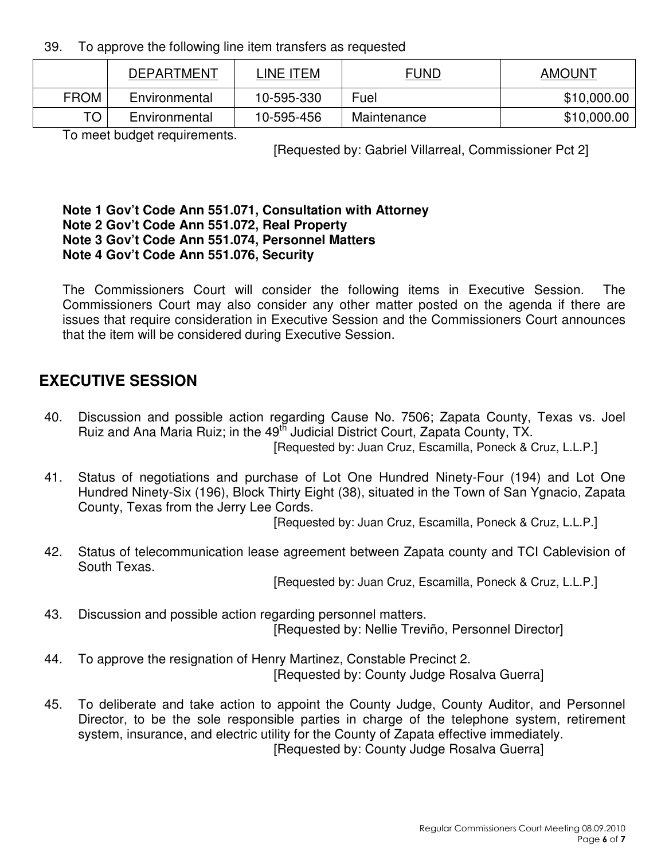39. To approve the following line item transfers as requested

|             | <b>DEPARTMENT</b> | INE ITEML  | <b>FUND</b> | <b>AMOUNT</b> |
|-------------|-------------------|------------|-------------|---------------|
| <b>FROM</b> | Environmental     | 10-595-330 | Fuel        | \$10,000.00   |
| TO I        | Environmental     | 10-595-456 | Maintenance | \$10,000.00   |

To meet budget requirements.

[Requested by: Gabriel Villarreal, Commissioner Pct 2]

#### **Note 1 Gov't Code Ann 551.071, Consultation with Attorney Note 2 Gov't Code Ann 551.072, Real Property Note 3 Gov't Code Ann 551.074, Personnel Matters Note 4 Gov't Code Ann 551.076, Security**

The Commissioners Court will consider the following items in Executive Session. The Commissioners Court may also consider any other matter posted on the agenda if there are issues that require consideration in Executive Session and the Commissioners Court announces that the item will be considered during Executive Session.

# **EXECUTIVE SESSION**

- 40. Discussion and possible action regarding Cause No. 7506; Zapata County, Texas vs. Joel Ruiz and Ana Maria Ruiz; in the 49<sup>th</sup> Judicial District Court, Zapata County, TX. [Requested by: Juan Cruz, Escamilla, Poneck & Cruz, L.L.P.]
- 41. Status of negotiations and purchase of Lot One Hundred Ninety-Four (194) and Lot One Hundred Ninety-Six (196), Block Thirty Eight (38), situated in the Town of San Ygnacio, Zapata County, Texas from the Jerry Lee Cords.

[Requested by: Juan Cruz, Escamilla, Poneck & Cruz, L.L.P.]

42. Status of telecommunication lease agreement between Zapata county and TCI Cablevision of South Texas.

[Requested by: Juan Cruz, Escamilla, Poneck & Cruz, L.L.P.]

- 43. Discussion and possible action regarding personnel matters. [Requested by: Nellie Treviño, Personnel Director]
- 44. To approve the resignation of Henry Martinez, Constable Precinct 2. [Requested by: County Judge Rosalva Guerra]
- 45. To deliberate and take action to appoint the County Judge, County Auditor, and Personnel Director, to be the sole responsible parties in charge of the telephone system, retirement system, insurance, and electric utility for the County of Zapata effective immediately. [Requested by: County Judge Rosalva Guerra]